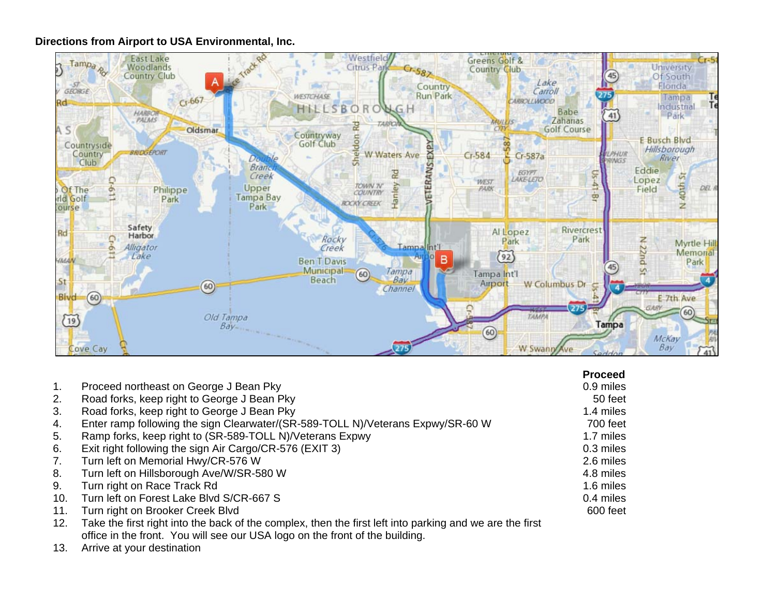## **Directions from Airport to USA Environmental, Inc.**



|     |                                                                                                          | <b>Proceed</b> |
|-----|----------------------------------------------------------------------------------------------------------|----------------|
| 1.  | Proceed northeast on George J Bean Pky                                                                   | 0.9 miles      |
| 2.  | Road forks, keep right to George J Bean Pky                                                              | 50 feet        |
| 3.  | Road forks, keep right to George J Bean Pky                                                              | 1.4 miles      |
| 4.  | Enter ramp following the sign Clearwater/(SR-589-TOLL N)/Veterans Expwy/SR-60 W                          | 700 feet       |
| 5.  | Ramp forks, keep right to (SR-589-TOLL N)/Veterans Expwy                                                 | 1.7 miles      |
| 6.  | Exit right following the sign Air Cargo/CR-576 (EXIT 3)                                                  | 0.3 miles      |
| 7.  | Turn left on Memorial Hwy/CR-576 W                                                                       | 2.6 miles      |
| 8.  | Turn left on Hillsborough Ave/W/SR-580 W                                                                 | 4.8 miles      |
| 9.  | Turn right on Race Track Rd                                                                              | 1.6 miles      |
| 10. | Turn left on Forest Lake Blvd S/CR-667 S                                                                 | 0.4 miles      |
| 11. | Turn right on Brooker Creek Blvd                                                                         | 600 feet       |
| 12. | Take the first right into the back of the complex, then the first left into parking and we are the first |                |
|     | office in the front. You will see our USA logo on the front of the building.                             |                |

13. Arrive at your destination